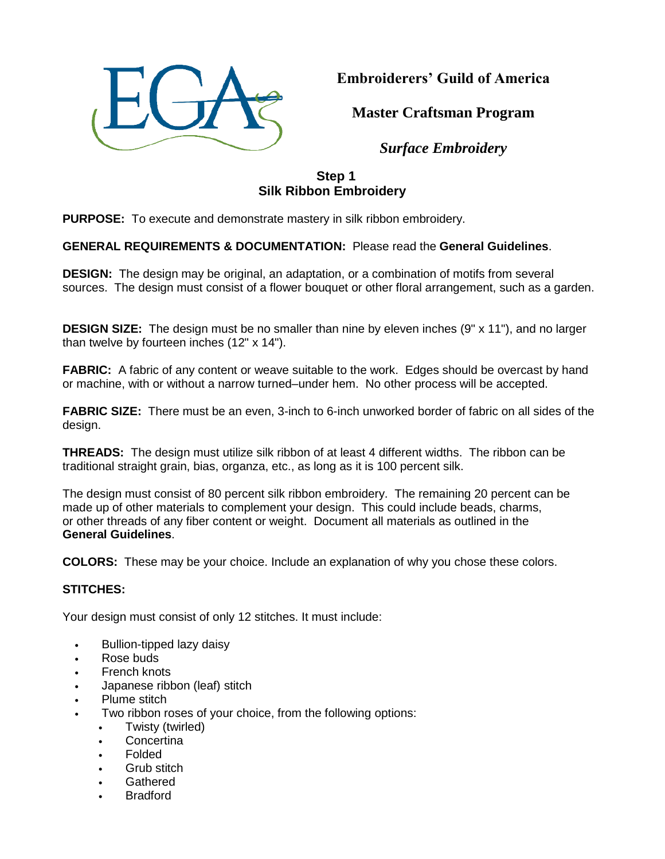

**Embroiderers' Guild of America**

**Master Craftsman Program**

*Surface Embroidery*

# **Step 1 Silk Ribbon Embroidery**

**PURPOSE:** To execute and demonstrate mastery in silk ribbon embroidery.

## **GENERAL REQUIREMENTS & DOCUMENTATION:** Please read the **General Guidelines**.

**DESIGN:** The design may be original, an adaptation, or a combination of motifs from several sources. The design must consist of a flower bouquet or other floral arrangement, such as a garden.

**DESIGN SIZE:** The design must be no smaller than nine by eleven inches (9" x 11"), and no larger than twelve by fourteen inches (12" x 14").

**FABRIC:** A fabric of any content or weave suitable to the work. Edges should be overcast by hand or machine, with or without a narrow turned–under hem. No other process will be accepted.

**FABRIC SIZE:** There must be an even, 3-inch to 6-inch unworked border of fabric on all sides of the design.

**THREADS:** The design must utilize silk ribbon of at least 4 different widths. The ribbon can be traditional straight grain, bias, organza, etc., as long as it is 100 percent silk.

The design must consist of 80 percent silk ribbon embroidery. The remaining 20 percent can be made up of other materials to complement your design. This could include beads, charms, or other threads of any fiber content or weight. Document all materials as outlined in the **General Guidelines**.

**COLORS:** These may be your choice. Include an explanation of why you chose these colors.

### **STITCHES:**

Your design must consist of only 12 stitches. It must include:

- Bullion-tipped lazy daisy
- Rose buds
- **French knots**
- Japanese ribbon (leaf) stitch
- Plume stitch
- Two ribbon roses of your choice, from the following options:
	- Twisty (twirled)
	- **Concertina**
	- Folded
	- Grub stitch
	- Gathered
	- **Bradford**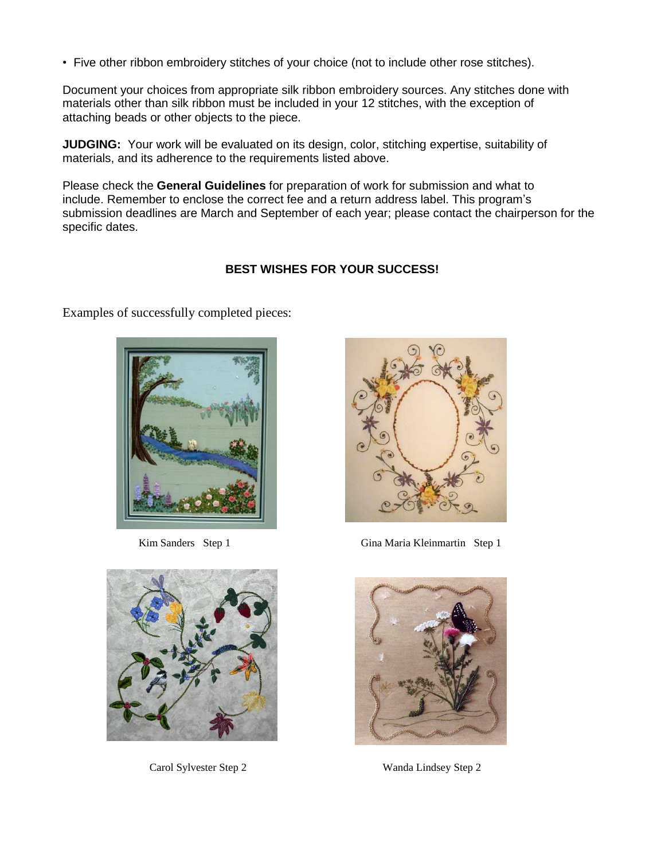• Five other ribbon embroidery stitches of your choice (not to include other rose stitches).

Document your choices from appropriate silk ribbon embroidery sources. Any stitches done with materials other than silk ribbon must be included in your 12 stitches, with the exception of attaching beads or other objects to the piece.

**JUDGING:** Your work will be evaluated on its design, color, stitching expertise, suitability of materials, and its adherence to the requirements listed above.

Please check the **General Guidelines** for preparation of work for submission and what to include. Remember to enclose the correct fee and a return address label. This program's submission deadlines are March and September of each year; please contact the chairperson for the specific dates.

### **BEST WISHES FOR YOUR SUCCESS!**

Examples of successfully completed pieces:





Carol Sylvester Step 2 Wanda Lindsey Step 2



Kim Sanders Step 1 Gina Maria Kleinmartin Step 1

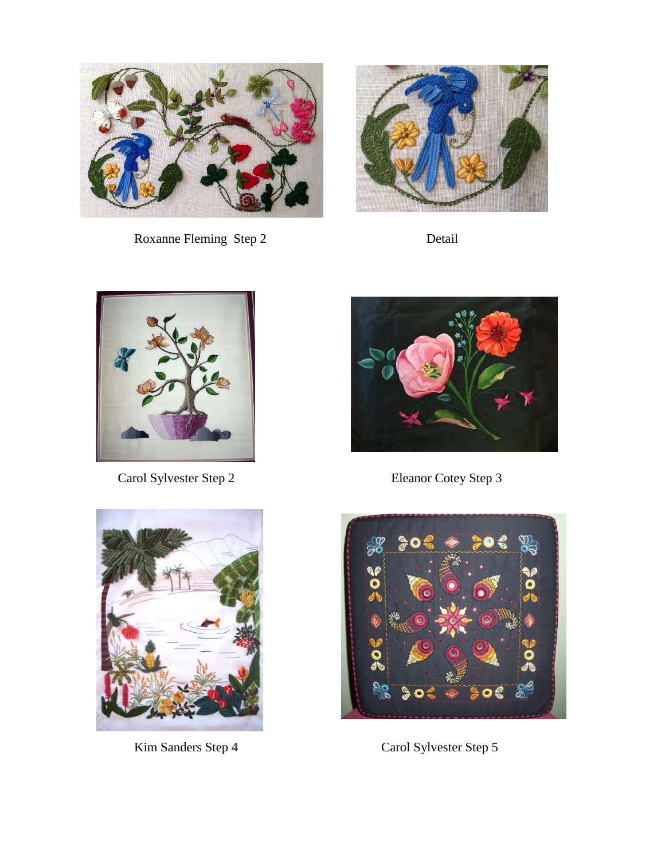

Roxanne Fleming Step 2 Detail





Carol Sylvester Step 2 Eleanor Cotey Step 3







Kim Sanders Step 4 Carol Sylvester Step 5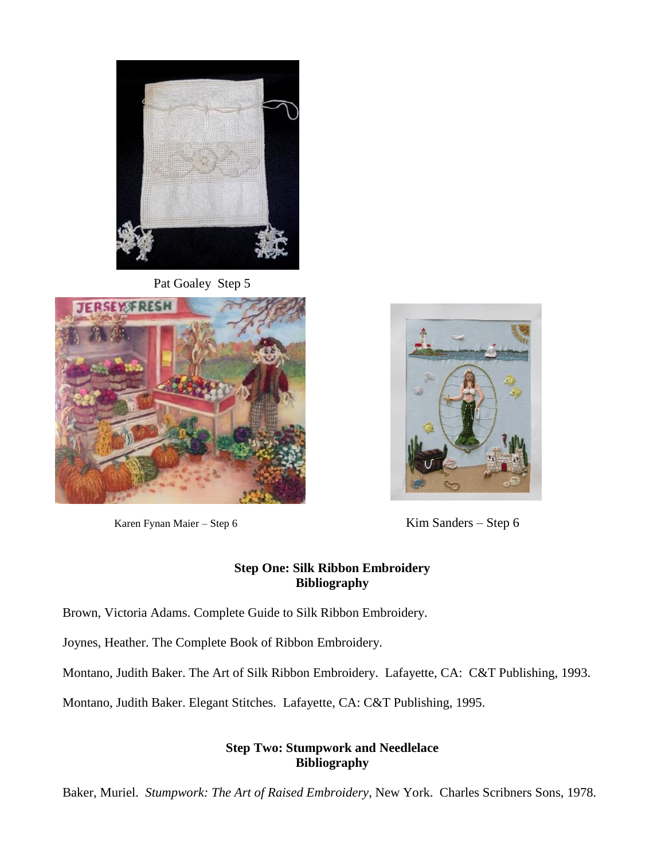

Pat Goaley Step 5



Karen Fynan Maier – Step 6 Kim Sanders – Step 6



## **Step One: Silk Ribbon Embroidery Bibliography**

Brown, Victoria Adams. Complete Guide to Silk Ribbon Embroidery.

Joynes, Heather. The Complete Book of Ribbon Embroidery.

Montano, Judith Baker. The Art of Silk Ribbon Embroidery. Lafayette, CA: C&T Publishing, 1993.

Montano, Judith Baker. Elegant Stitches. Lafayette, CA: C&T Publishing, 1995.

# **Step Two: Stumpwork and Needlelace Bibliography**

Baker, Muriel. *Stumpwork: The Art of Raised Embroidery*, New York. Charles Scribners Sons, 1978.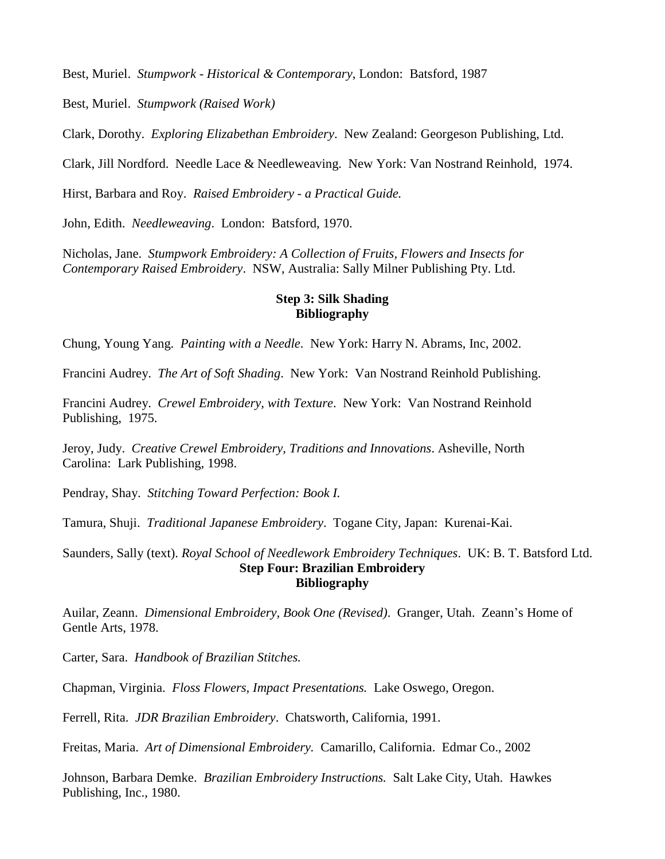Best, Muriel. *Stumpwork - Historical & Contemporary*, London: Batsford, 1987

Best, Muriel. *Stumpwork (Raised Work)*

Clark, Dorothy. *Exploring Elizabethan Embroidery*. New Zealand: Georgeson Publishing, Ltd.

Clark, Jill Nordford. Needle Lace & Needleweaving. New York: Van Nostrand Reinhold, 1974.

Hirst, Barbara and Roy. *Raised Embroidery - a Practical Guide.*

John, Edith. *Needleweaving*. London: Batsford, 1970.

Nicholas, Jane. *Stumpwork Embroidery: A Collection of Fruits, Flowers and Insects for Contemporary Raised Embroidery*. NSW, Australia: Sally Milner Publishing Pty. Ltd.

### **Step 3: Silk Shading Bibliography**

Chung, Young Yang. *Painting with a Needle*. New York: Harry N. Abrams, Inc, 2002.

Francini Audrey. *The Art of Soft Shading*. New York: Van Nostrand Reinhold Publishing.

Francini Audrey. *Crewel Embroidery, with Texture*. New York: Van Nostrand Reinhold Publishing, 1975.

Jeroy, Judy. *Creative Crewel Embroidery, Traditions and Innovations*. Asheville, North Carolina: Lark Publishing, 1998.

Pendray, Shay. *Stitching Toward Perfection: Book I.*

Tamura, Shuji. *Traditional Japanese Embroidery*. Togane City, Japan: Kurenai-Kai.

Saunders, Sally (text). *Royal School of Needlework Embroidery Techniques*. UK: B. T. Batsford Ltd. **Step Four: Brazilian Embroidery Bibliography**

Auilar, Zeann. *Dimensional Embroidery, Book One (Revised)*. Granger, Utah. Zeann's Home of Gentle Arts, 1978.

Carter, Sara. *Handbook of Brazilian Stitches.*

Chapman, Virginia. *Floss Flowers, Impact Presentations.* Lake Oswego, Oregon.

Ferrell, Rita. *JDR Brazilian Embroidery*. Chatsworth, California, 1991.

Freitas, Maria. *Art of Dimensional Embroidery.* Camarillo, California. Edmar Co., 2002

Johnson, Barbara Demke. *Brazilian Embroidery Instructions.* Salt Lake City, Utah. Hawkes Publishing, Inc., 1980.